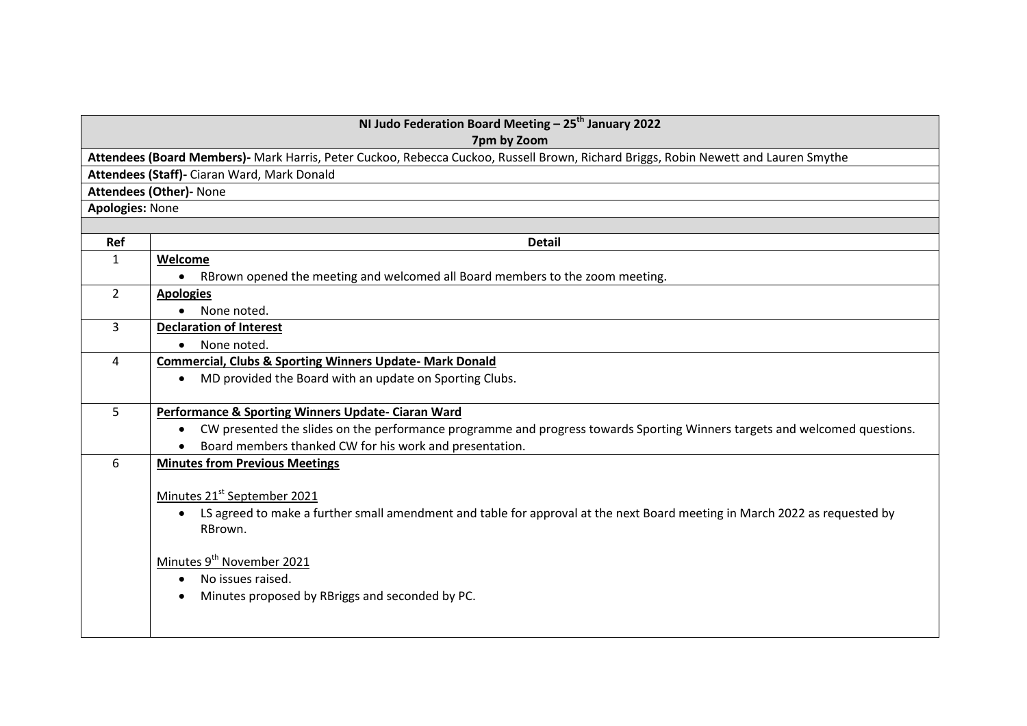| NI Judo Federation Board Meeting $-25^{th}$ January 2022<br>7pm by Zoom                                                             |  |  |
|-------------------------------------------------------------------------------------------------------------------------------------|--|--|
|                                                                                                                                     |  |  |
| Attendees (Board Members)- Mark Harris, Peter Cuckoo, Rebecca Cuckoo, Russell Brown, Richard Briggs, Robin Newett and Lauren Smythe |  |  |
|                                                                                                                                     |  |  |
|                                                                                                                                     |  |  |
|                                                                                                                                     |  |  |
|                                                                                                                                     |  |  |
|                                                                                                                                     |  |  |
|                                                                                                                                     |  |  |
|                                                                                                                                     |  |  |
|                                                                                                                                     |  |  |
|                                                                                                                                     |  |  |
|                                                                                                                                     |  |  |
|                                                                                                                                     |  |  |
|                                                                                                                                     |  |  |
|                                                                                                                                     |  |  |
|                                                                                                                                     |  |  |
|                                                                                                                                     |  |  |
| CW presented the slides on the performance programme and progress towards Sporting Winners targets and welcomed questions.          |  |  |
|                                                                                                                                     |  |  |
|                                                                                                                                     |  |  |
|                                                                                                                                     |  |  |
| LS agreed to make a further small amendment and table for approval at the next Board meeting in March 2022 as requested by          |  |  |
|                                                                                                                                     |  |  |
|                                                                                                                                     |  |  |
|                                                                                                                                     |  |  |
|                                                                                                                                     |  |  |
|                                                                                                                                     |  |  |
|                                                                                                                                     |  |  |
|                                                                                                                                     |  |  |
|                                                                                                                                     |  |  |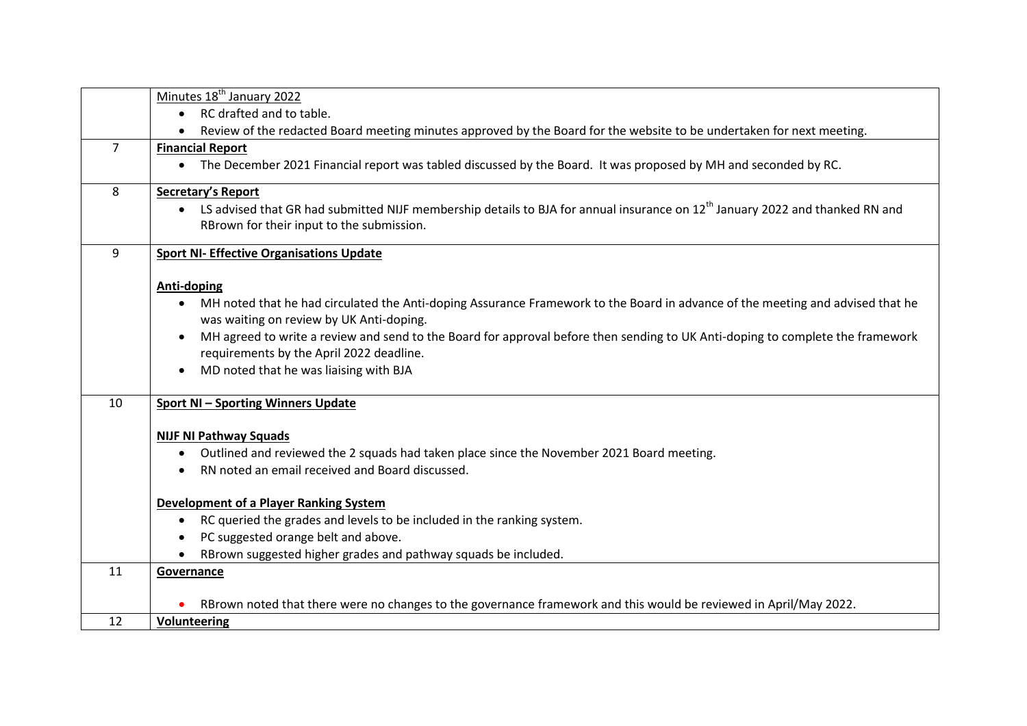|                | Minutes 18 <sup>th</sup> January 2022                                                                                                    |
|----------------|------------------------------------------------------------------------------------------------------------------------------------------|
|                | RC drafted and to table.                                                                                                                 |
|                | Review of the redacted Board meeting minutes approved by the Board for the website to be undertaken for next meeting.                    |
| $\overline{7}$ | <b>Financial Report</b>                                                                                                                  |
|                | The December 2021 Financial report was tabled discussed by the Board. It was proposed by MH and seconded by RC.<br>$\bullet$             |
| 8              | <b>Secretary's Report</b>                                                                                                                |
|                | LS advised that GR had submitted NIJF membership details to BJA for annual insurance on 12 <sup>th</sup> January 2022 and thanked RN and |
|                | RBrown for their input to the submission.                                                                                                |
| 9              | <b>Sport NI- Effective Organisations Update</b>                                                                                          |
|                | Anti-doping                                                                                                                              |
|                | MH noted that he had circulated the Anti-doping Assurance Framework to the Board in advance of the meeting and advised that he           |
|                | was waiting on review by UK Anti-doping.                                                                                                 |
|                | MH agreed to write a review and send to the Board for approval before then sending to UK Anti-doping to complete the framework           |
|                | requirements by the April 2022 deadline.                                                                                                 |
|                | MD noted that he was liaising with BJA<br>$\bullet$                                                                                      |
| 10             | <b>Sport NI-Sporting Winners Update</b>                                                                                                  |
|                | <b>NIJF NI Pathway Squads</b>                                                                                                            |
|                | Outlined and reviewed the 2 squads had taken place since the November 2021 Board meeting.<br>$\bullet$                                   |
|                | RN noted an email received and Board discussed.                                                                                          |
|                | <b>Development of a Player Ranking System</b>                                                                                            |
|                | RC queried the grades and levels to be included in the ranking system.                                                                   |
|                | PC suggested orange belt and above.                                                                                                      |
|                | RBrown suggested higher grades and pathway squads be included.                                                                           |
| 11             | Governance                                                                                                                               |
|                | RBrown noted that there were no changes to the governance framework and this would be reviewed in April/May 2022.                        |
| 12             | Volunteering                                                                                                                             |
|                |                                                                                                                                          |